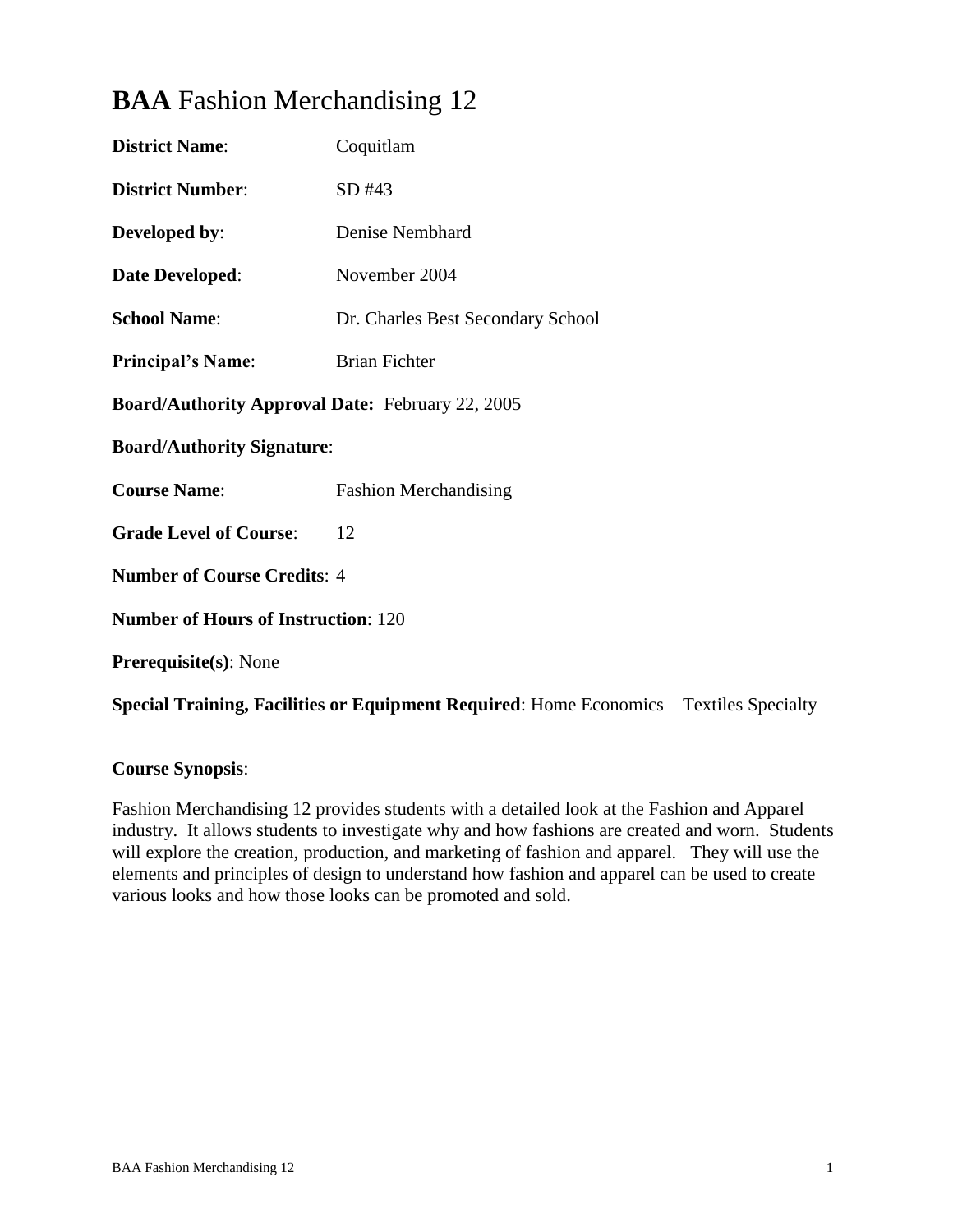# **BAA** Fashion Merchandising 12

| <b>District Name:</b>                                   | Coquitlam                         |  |  |  |
|---------------------------------------------------------|-----------------------------------|--|--|--|
| <b>District Number:</b>                                 | SD #43                            |  |  |  |
| Developed by:                                           | Denise Nembhard                   |  |  |  |
| <b>Date Developed:</b>                                  | November 2004                     |  |  |  |
| <b>School Name:</b>                                     | Dr. Charles Best Secondary School |  |  |  |
| <b>Principal's Name:</b>                                | <b>Brian Fichter</b>              |  |  |  |
| <b>Board/Authority Approval Date: February 22, 2005</b> |                                   |  |  |  |
| <b>Board/Authority Signature:</b>                       |                                   |  |  |  |
| <b>Course Name:</b>                                     | <b>Fashion Merchandising</b>      |  |  |  |
| <b>Grade Level of Course:</b>                           | 12                                |  |  |  |
| <b>Number of Course Credits: 4</b>                      |                                   |  |  |  |
| <b>Number of Hours of Instruction: 120</b>              |                                   |  |  |  |
| <b>Prerequisite(s): None</b>                            |                                   |  |  |  |
|                                                         |                                   |  |  |  |

**Special Training, Facilities or Equipment Required**: Home Economics—Textiles Specialty

# **Course Synopsis**:

Fashion Merchandising 12 provides students with a detailed look at the Fashion and Apparel industry. It allows students to investigate why and how fashions are created and worn. Students will explore the creation, production, and marketing of fashion and apparel. They will use the elements and principles of design to understand how fashion and apparel can be used to create various looks and how those looks can be promoted and sold.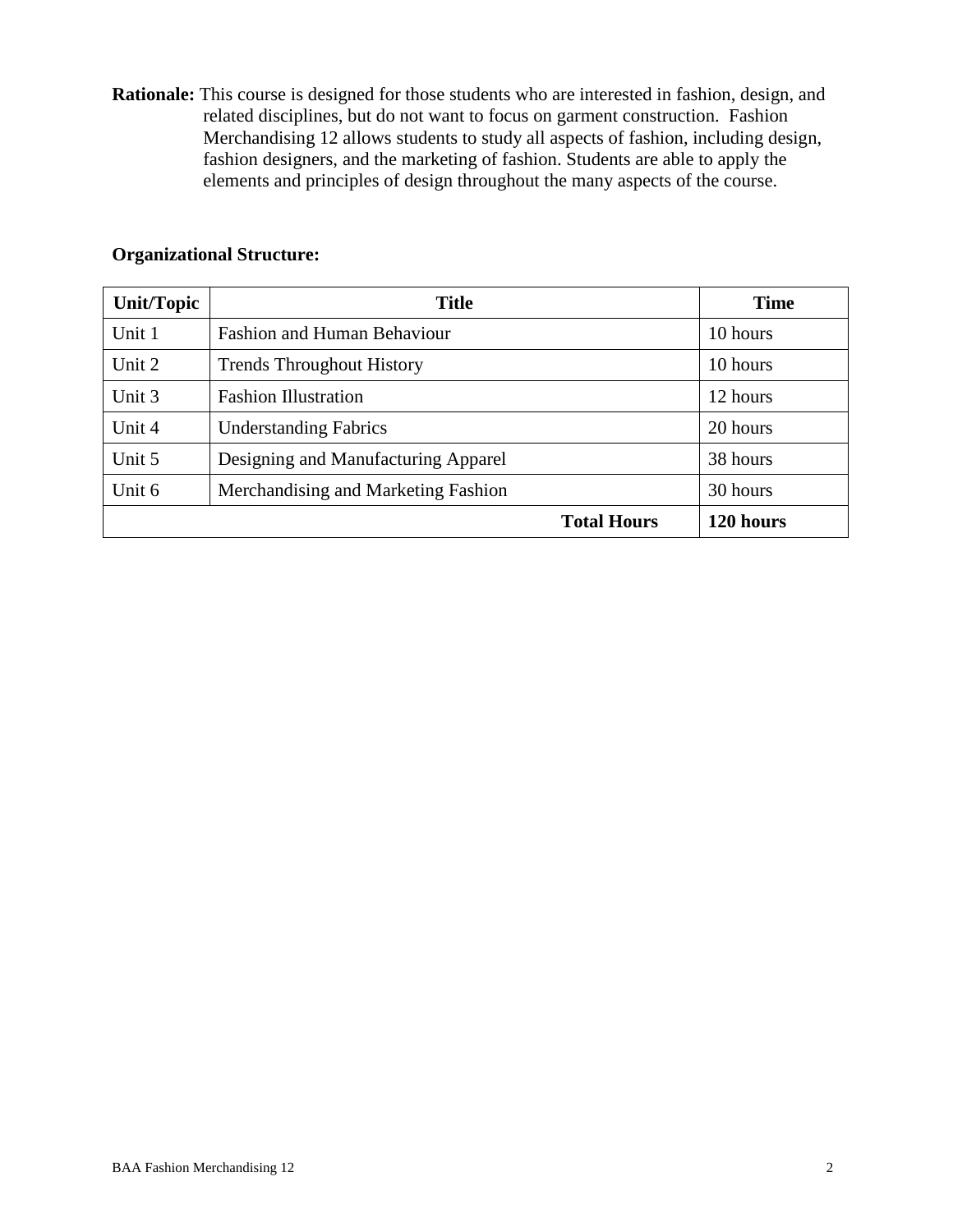**Rationale:** This course is designed for those students who are interested in fashion, design, and related disciplines, but do not want to focus on garment construction. Fashion Merchandising 12 allows students to study all aspects of fashion, including design, fashion designers, and the marketing of fashion. Students are able to apply the elements and principles of design throughout the many aspects of the course.

# **Organizational Structure:**

| <b>Unit/Topic</b>                             | <b>Title</b>                        |                    | <b>Time</b> |
|-----------------------------------------------|-------------------------------------|--------------------|-------------|
| Unit 1                                        | <b>Fashion and Human Behaviour</b>  |                    | 10 hours    |
| Unit 2                                        | <b>Trends Throughout History</b>    |                    | 10 hours    |
| Unit 3                                        | <b>Fashion Illustration</b>         |                    | 12 hours    |
| Unit 4                                        | <b>Understanding Fabrics</b>        |                    | 20 hours    |
| Unit 5<br>Designing and Manufacturing Apparel |                                     | 38 hours           |             |
| Unit 6                                        | Merchandising and Marketing Fashion |                    | 30 hours    |
|                                               |                                     | <b>Total Hours</b> | 120 hours   |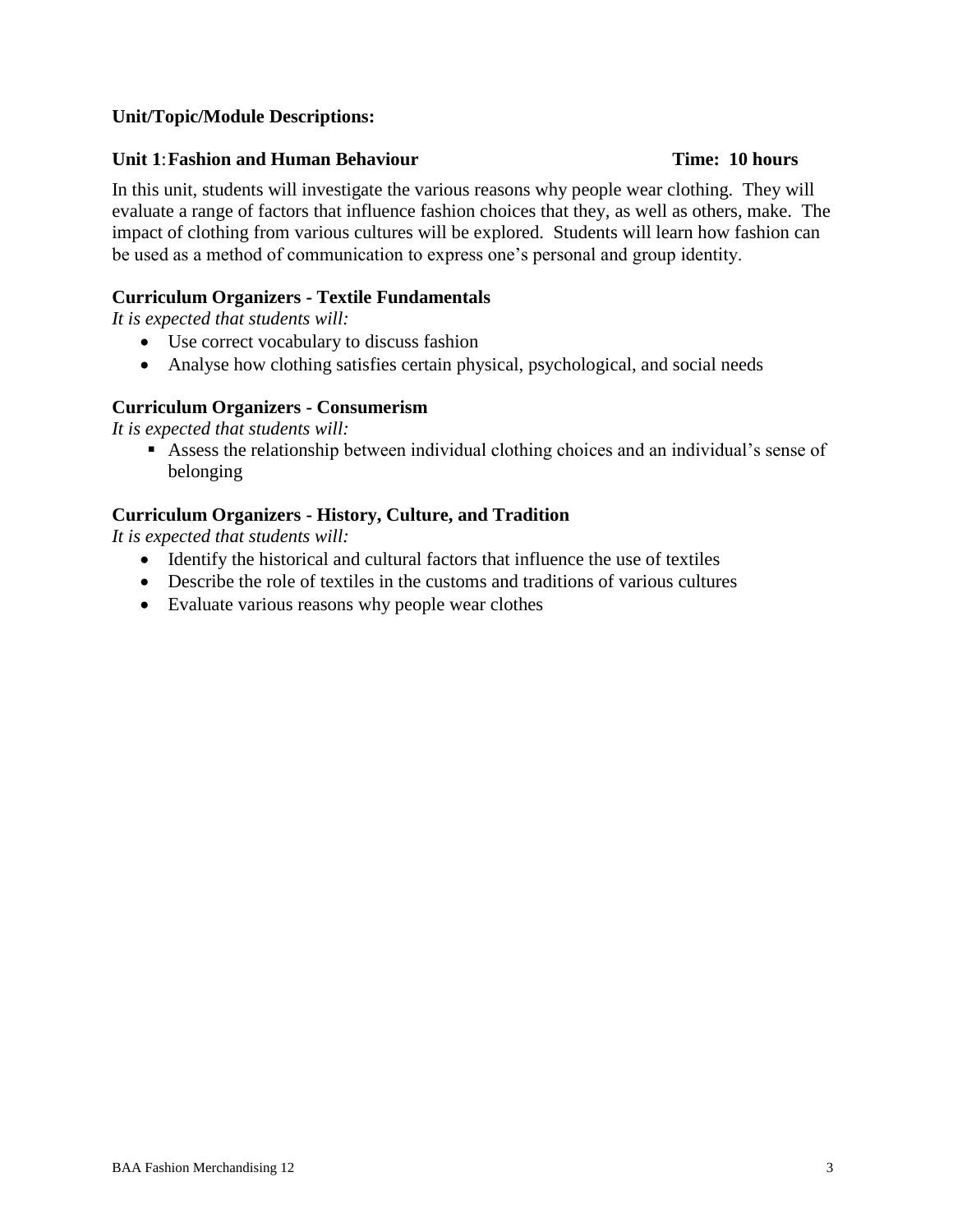# **Unit/Topic/Module Descriptions:**

#### **Unit 1**:**Fashion and Human Behaviour Time: 10 hours**

# In this unit, students will investigate the various reasons why people wear clothing. They will evaluate a range of factors that influence fashion choices that they, as well as others, make. The impact of clothing from various cultures will be explored. Students will learn how fashion can be used as a method of communication to express one's personal and group identity.

#### **Curriculum Organizers - Textile Fundamentals**

*It is expected that students will:*

- Use correct vocabulary to discuss fashion
- Analyse how clothing satisfies certain physical, psychological, and social needs

#### **Curriculum Organizers - Consumerism**

*It is expected that students will:*

 Assess the relationship between individual clothing choices and an individual's sense of belonging

#### **Curriculum Organizers - History, Culture, and Tradition**

- Identify the historical and cultural factors that influence the use of textiles
- Describe the role of textiles in the customs and traditions of various cultures
- Evaluate various reasons why people wear clothes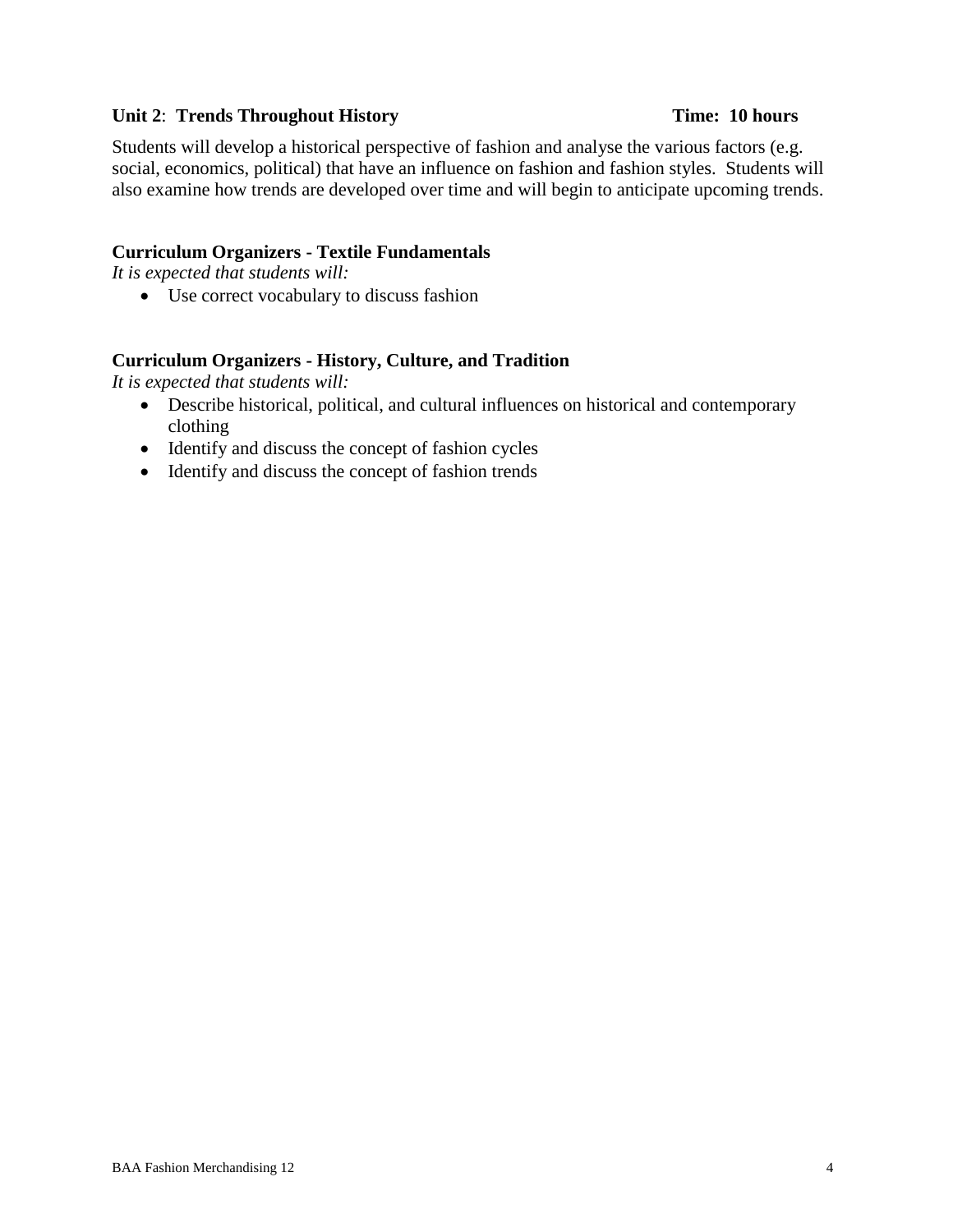### **Unit 2: Trends Throughout History Time: 10 hours**

Students will develop a historical perspective of fashion and analyse the various factors (e.g. social, economics, political) that have an influence on fashion and fashion styles. Students will also examine how trends are developed over time and will begin to anticipate upcoming trends.

#### **Curriculum Organizers - Textile Fundamentals**

*It is expected that students will:*

Use correct vocabulary to discuss fashion

### **Curriculum Organizers - History, Culture, and Tradition**

- Describe historical, political, and cultural influences on historical and contemporary clothing
- Identify and discuss the concept of fashion cycles
- Identify and discuss the concept of fashion trends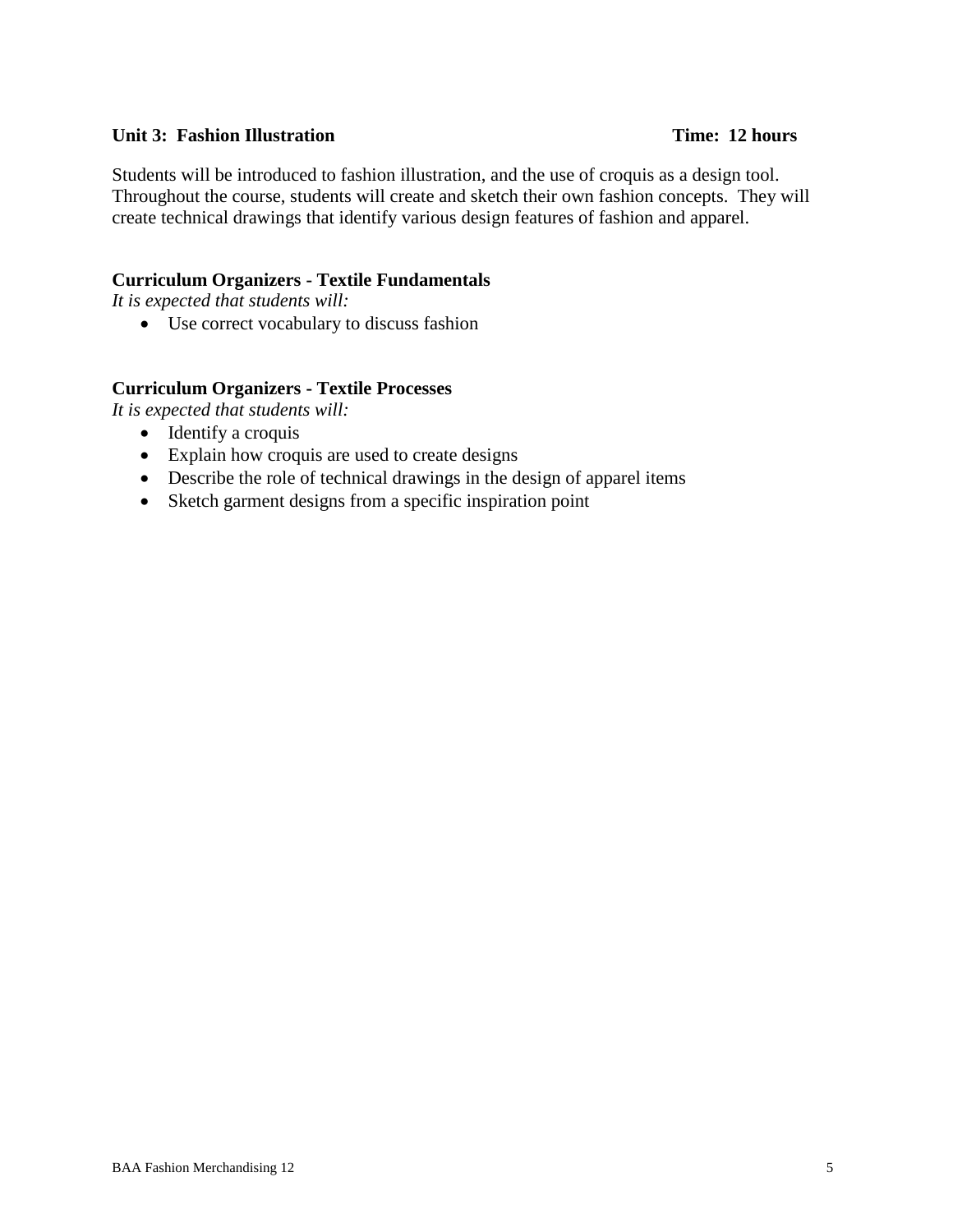#### **Unit 3: Fashion Illustration Time: 12 hours**

Students will be introduced to fashion illustration, and the use of croquis as a design tool. Throughout the course, students will create and sketch their own fashion concepts. They will create technical drawings that identify various design features of fashion and apparel.

#### **Curriculum Organizers - Textile Fundamentals**

*It is expected that students will:*

Use correct vocabulary to discuss fashion

#### **Curriculum Organizers - Textile Processes**

- Identify a croquis
- Explain how croquis are used to create designs
- Describe the role of technical drawings in the design of apparel items
- Sketch garment designs from a specific inspiration point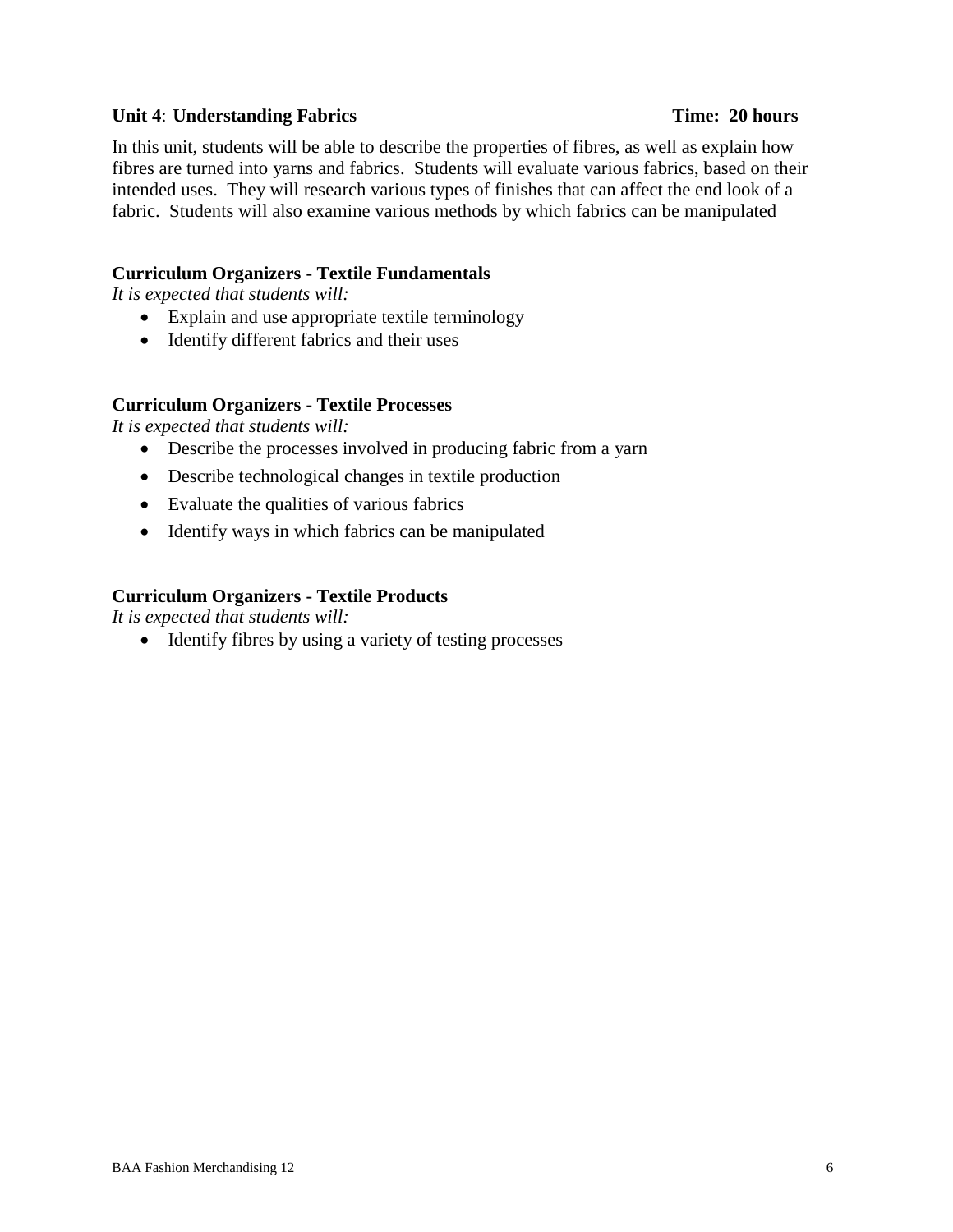### **Unit 4**: **Understanding Fabrics Time: 20 hours**

In this unit, students will be able to describe the properties of fibres, as well as explain how fibres are turned into yarns and fabrics. Students will evaluate various fabrics, based on their intended uses. They will research various types of finishes that can affect the end look of a fabric. Students will also examine various methods by which fabrics can be manipulated

# **Curriculum Organizers - Textile Fundamentals**

*It is expected that students will:*

- Explain and use appropriate textile terminology
- Identify different fabrics and their uses

### **Curriculum Organizers - Textile Processes**

*It is expected that students will:*

- Describe the processes involved in producing fabric from a yarn
- Describe technological changes in textile production
- Evaluate the qualities of various fabrics
- Identify ways in which fabrics can be manipulated

### **Curriculum Organizers - Textile Products**

*It is expected that students will:*

• Identify fibres by using a variety of testing processes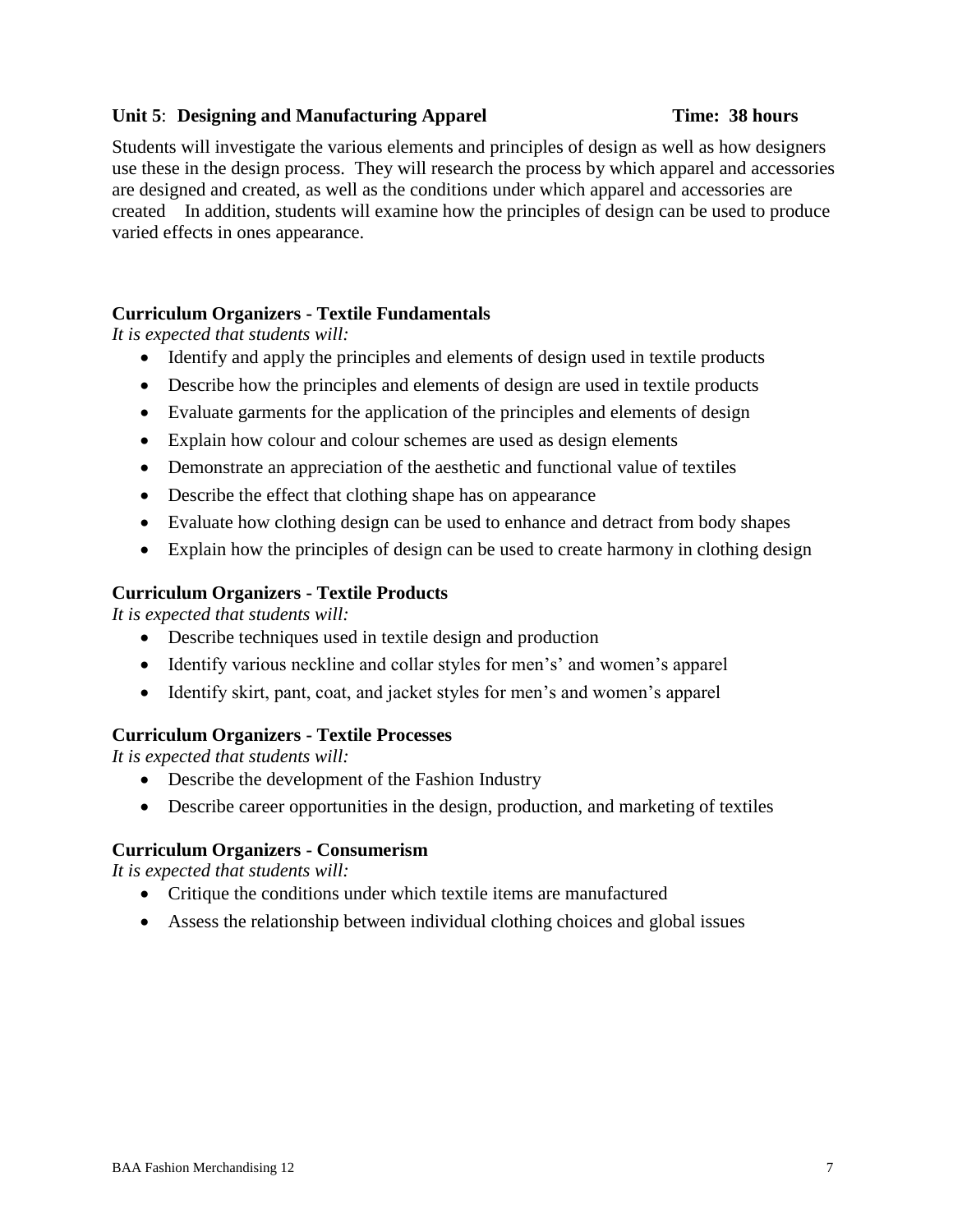# **Unit 5**: **Designing and Manufacturing Apparel Time: 38 hours**

Students will investigate the various elements and principles of design as well as how designers use these in the design process. They will research the process by which apparel and accessories are designed and created, as well as the conditions under which apparel and accessories are created In addition, students will examine how the principles of design can be used to produce varied effects in ones appearance.

# **Curriculum Organizers - Textile Fundamentals**

*It is expected that students will:*

- Identify and apply the principles and elements of design used in textile products
- Describe how the principles and elements of design are used in textile products
- Evaluate garments for the application of the principles and elements of design
- Explain how colour and colour schemes are used as design elements
- Demonstrate an appreciation of the aesthetic and functional value of textiles
- Describe the effect that clothing shape has on appearance
- Evaluate how clothing design can be used to enhance and detract from body shapes
- Explain how the principles of design can be used to create harmony in clothing design

### **Curriculum Organizers - Textile Products**

*It is expected that students will:*

- Describe techniques used in textile design and production
- Identify various neckline and collar styles for men's' and women's apparel
- Identify skirt, pant, coat, and jacket styles for men's and women's apparel

### **Curriculum Organizers - Textile Processes**

*It is expected that students will:*

- Describe the development of the Fashion Industry
- Describe career opportunities in the design, production, and marketing of textiles

### **Curriculum Organizers - Consumerism**

- Critique the conditions under which textile items are manufactured
- Assess the relationship between individual clothing choices and global issues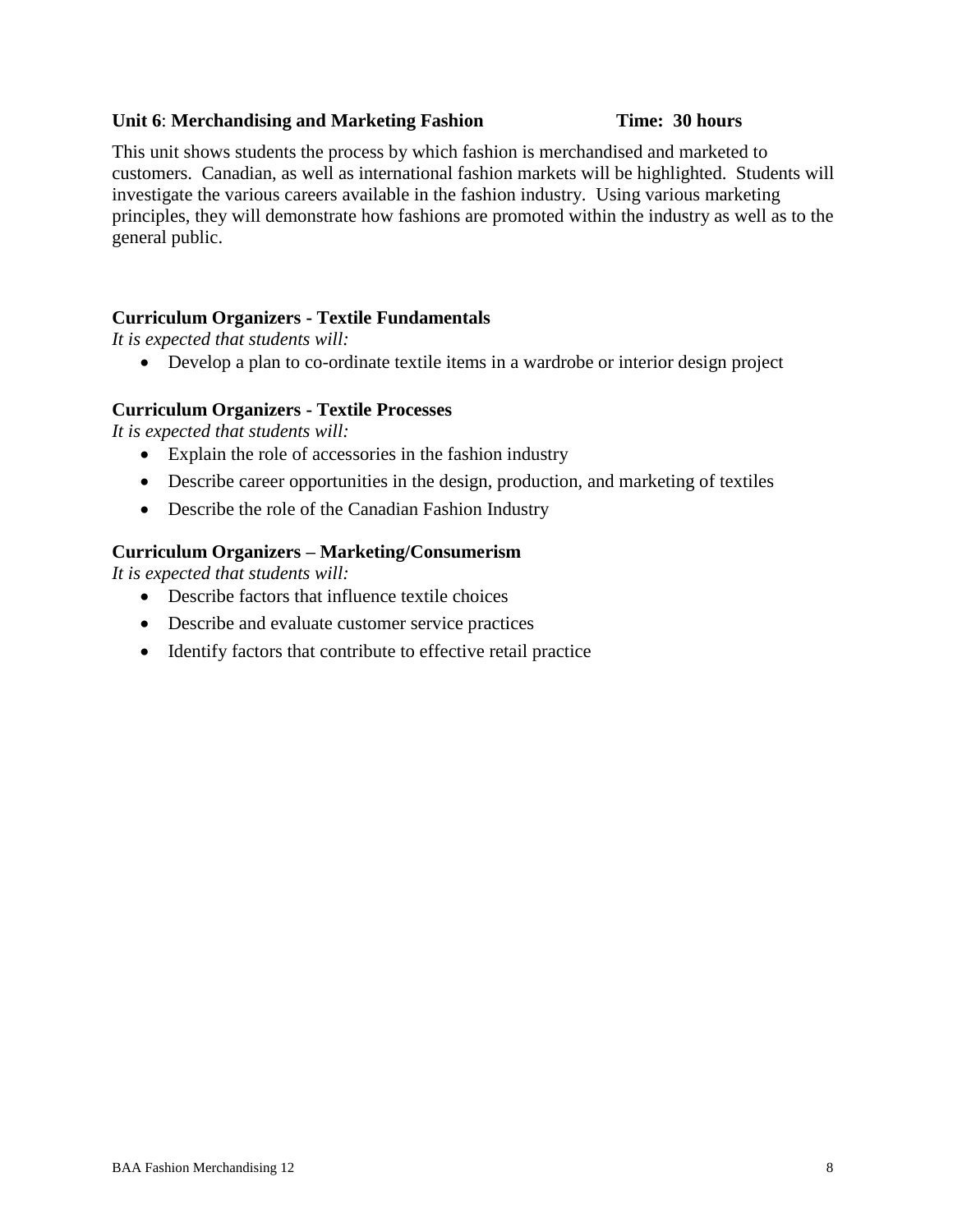### **Unit 6**: **Merchandising and Marketing Fashion Time: 30 hours**

This unit shows students the process by which fashion is merchandised and marketed to customers. Canadian, as well as international fashion markets will be highlighted. Students will investigate the various careers available in the fashion industry. Using various marketing principles, they will demonstrate how fashions are promoted within the industry as well as to the general public.

# **Curriculum Organizers - Textile Fundamentals**

*It is expected that students will:*

Develop a plan to co-ordinate textile items in a wardrobe or interior design project

### **Curriculum Organizers - Textile Processes**

*It is expected that students will:*

- Explain the role of accessories in the fashion industry
- Describe career opportunities in the design, production, and marketing of textiles
- Describe the role of the Canadian Fashion Industry

### **Curriculum Organizers – Marketing/Consumerism**

- Describe factors that influence textile choices
- Describe and evaluate customer service practices
- Identify factors that contribute to effective retail practice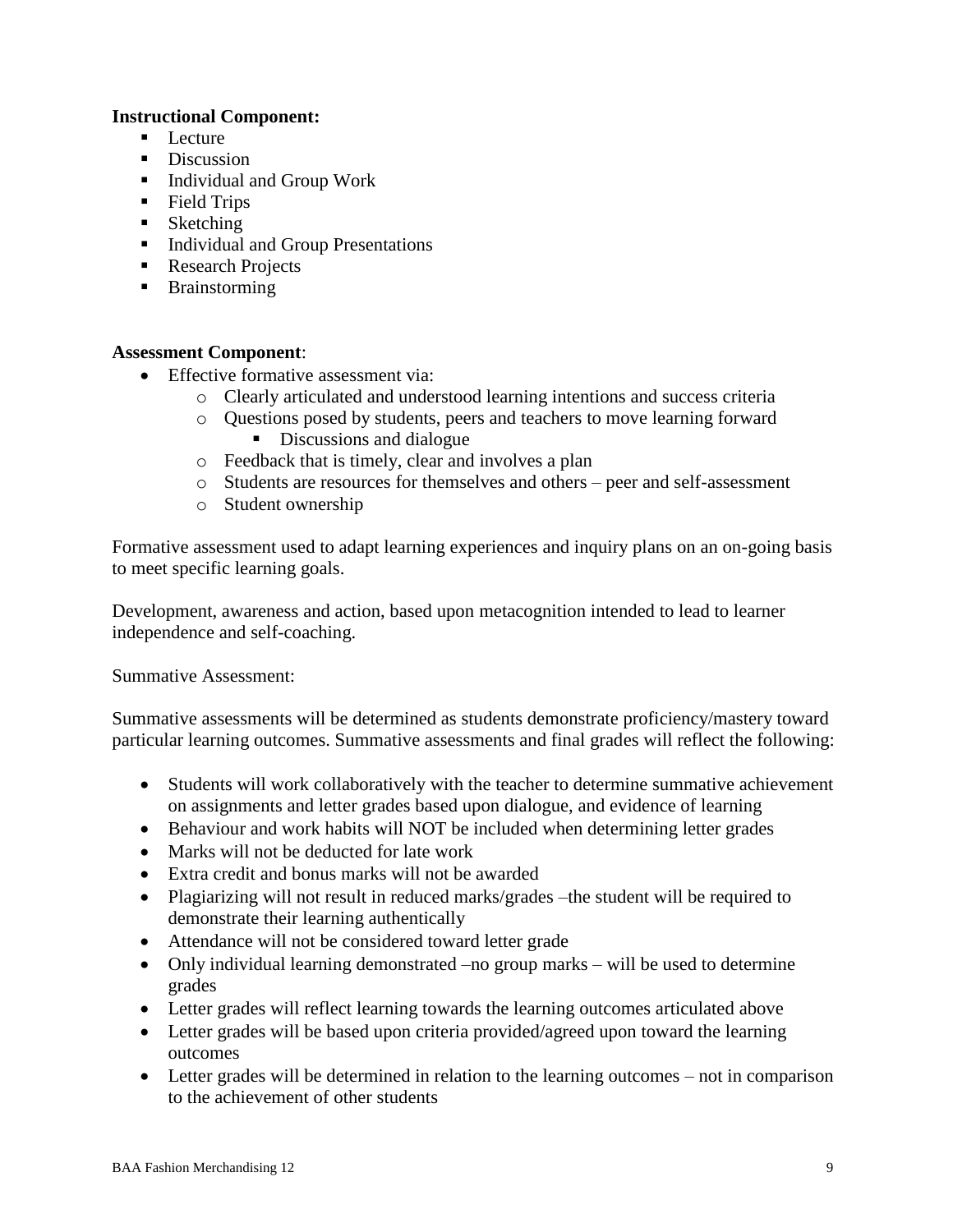### **Instructional Component:**

- $\blacksquare$  Lecture
- Discussion
- Individual and Group Work
- **Field Trips**
- Sketching
- Individual and Group Presentations
- Research Projects
- **Brainstorming**

### **Assessment Component**:

- Effective formative assessment via:
	- o Clearly articulated and understood learning intentions and success criteria
	- o Questions posed by students, peers and teachers to move learning forward Discussions and dialogue
	- o Feedback that is timely, clear and involves a plan
	- o Students are resources for themselves and others peer and self-assessment
	- o Student ownership

Formative assessment used to adapt learning experiences and inquiry plans on an on-going basis to meet specific learning goals.

Development, awareness and action, based upon metacognition intended to lead to learner independence and self-coaching.

Summative Assessment:

Summative assessments will be determined as students demonstrate proficiency/mastery toward particular learning outcomes. Summative assessments and final grades will reflect the following:

- Students will work collaboratively with the teacher to determine summative achievement on assignments and letter grades based upon dialogue, and evidence of learning
- Behaviour and work habits will NOT be included when determining letter grades
- Marks will not be deducted for late work
- Extra credit and bonus marks will not be awarded
- Plagiarizing will not result in reduced marks/grades –the student will be required to demonstrate their learning authentically
- Attendance will not be considered toward letter grade
- Only individual learning demonstrated –no group marks will be used to determine grades
- Letter grades will reflect learning towards the learning outcomes articulated above
- Letter grades will be based upon criteria provided/agreed upon toward the learning outcomes
- Letter grades will be determined in relation to the learning outcomes not in comparison to the achievement of other students